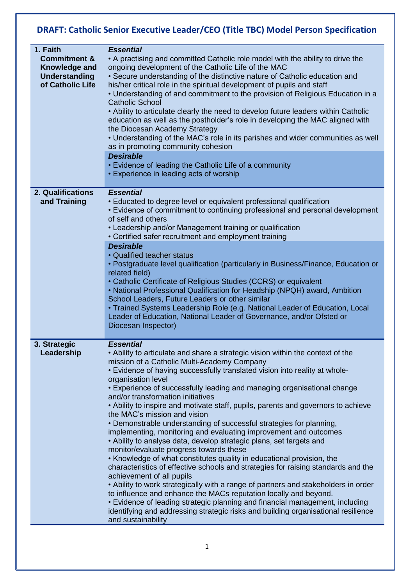## **DRAFT: Catholic Senior Executive Leader/CEO (Title TBC) Model Person Specification**

| 1. Faith<br><b>Commitment &amp;</b><br>Knowledge and<br>Understanding<br>of Catholic Life | <b>Essential</b><br>• A practising and committed Catholic role model with the ability to drive the<br>ongoing development of the Catholic Life of the MAC<br>• Secure understanding of the distinctive nature of Catholic education and<br>his/her critical role in the spiritual development of pupils and staff<br>• Understanding of and commitment to the provision of Religious Education in a<br><b>Catholic School</b><br>• Ability to articulate clearly the need to develop future leaders within Catholic<br>education as well as the postholder's role in developing the MAC aligned with<br>the Diocesan Academy Strategy<br>• Understanding of the MAC's role in its parishes and wider communities as well<br>as in promoting community cohesion                                                                                                                                                                                                                                                                                                                                                                                                                                                                                                                                          |
|-------------------------------------------------------------------------------------------|---------------------------------------------------------------------------------------------------------------------------------------------------------------------------------------------------------------------------------------------------------------------------------------------------------------------------------------------------------------------------------------------------------------------------------------------------------------------------------------------------------------------------------------------------------------------------------------------------------------------------------------------------------------------------------------------------------------------------------------------------------------------------------------------------------------------------------------------------------------------------------------------------------------------------------------------------------------------------------------------------------------------------------------------------------------------------------------------------------------------------------------------------------------------------------------------------------------------------------------------------------------------------------------------------------|
|                                                                                           | <b>Desirable</b><br>• Evidence of leading the Catholic Life of a community<br>• Experience in leading acts of worship                                                                                                                                                                                                                                                                                                                                                                                                                                                                                                                                                                                                                                                                                                                                                                                                                                                                                                                                                                                                                                                                                                                                                                                   |
| 2. Qualifications<br>and Training                                                         | <b>Essential</b><br>• Educated to degree level or equivalent professional qualification<br>• Evidence of commitment to continuing professional and personal development<br>of self and others<br>• Leadership and/or Management training or qualification<br>• Certified safer recruitment and employment training                                                                                                                                                                                                                                                                                                                                                                                                                                                                                                                                                                                                                                                                                                                                                                                                                                                                                                                                                                                      |
|                                                                                           | <b>Desirable</b><br>• Qualified teacher status<br>• Postgraduate level qualification (particularly in Business/Finance, Education or<br>related field)<br>• Catholic Certificate of Religious Studies (CCRS) or equivalent<br>• National Professional Qualification for Headship (NPQH) award, Ambition<br>School Leaders, Future Leaders or other similar<br>• Trained Systems Leadership Role (e.g. National Leader of Education, Local<br>Leader of Education, National Leader of Governance, and/or Ofsted or<br>Diocesan Inspector)                                                                                                                                                                                                                                                                                                                                                                                                                                                                                                                                                                                                                                                                                                                                                                |
| 3. Strategic<br>Leadership                                                                | <b>Essential</b><br>• Ability to articulate and share a strategic vision within the context of the<br>mission of a Catholic Multi-Academy Company<br>. Evidence of having successfully translated vision into reality at whole-<br>organisation level<br>• Experience of successfully leading and managing organisational change<br>and/or transformation initiatives<br>• Ability to inspire and motivate staff, pupils, parents and governors to achieve<br>the MAC's mission and vision<br>• Demonstrable understanding of successful strategies for planning,<br>implementing, monitoring and evaluating improvement and outcomes<br>• Ability to analyse data, develop strategic plans, set targets and<br>monitor/evaluate progress towards these<br>• Knowledge of what constitutes quality in educational provision, the<br>characteristics of effective schools and strategies for raising standards and the<br>achievement of all pupils<br>• Ability to work strategically with a range of partners and stakeholders in order<br>to influence and enhance the MACs reputation locally and beyond.<br>• Evidence of leading strategic planning and financial management, including<br>identifying and addressing strategic risks and building organisational resilience<br>and sustainability |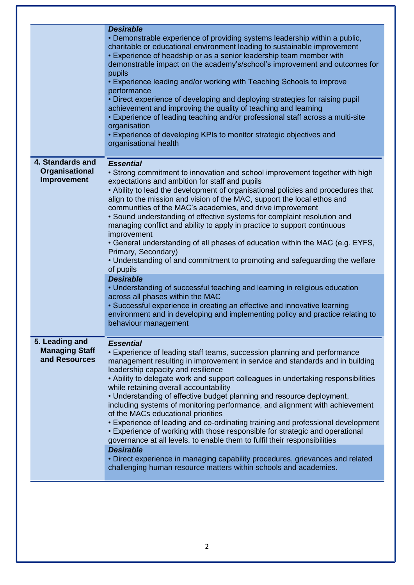|                                        | <b>Desirable</b>                                                                                                                                                                                                                                                                                                                                                                                                                                                                                                                                                                                                                                                                                                                                                                                                                                                                                                                                      |
|----------------------------------------|-------------------------------------------------------------------------------------------------------------------------------------------------------------------------------------------------------------------------------------------------------------------------------------------------------------------------------------------------------------------------------------------------------------------------------------------------------------------------------------------------------------------------------------------------------------------------------------------------------------------------------------------------------------------------------------------------------------------------------------------------------------------------------------------------------------------------------------------------------------------------------------------------------------------------------------------------------|
|                                        | • Demonstrable experience of providing systems leadership within a public,<br>charitable or educational environment leading to sustainable improvement<br>• Experience of headship or as a senior leadership team member with<br>demonstrable impact on the academy's/school's improvement and outcomes for<br>pupils<br>• Experience leading and/or working with Teaching Schools to improve<br>performance<br>• Direct experience of developing and deploying strategies for raising pupil<br>achievement and improving the quality of teaching and learning<br>• Experience of leading teaching and/or professional staff across a multi-site<br>organisation<br>• Experience of developing KPIs to monitor strategic objectives and<br>organisational health                                                                                                                                                                                      |
| 4. Standards and                       | <b>Essential</b>                                                                                                                                                                                                                                                                                                                                                                                                                                                                                                                                                                                                                                                                                                                                                                                                                                                                                                                                      |
| Organisational<br>Improvement          | • Strong commitment to innovation and school improvement together with high<br>expectations and ambition for staff and pupils<br>• Ability to lead the development of organisational policies and procedures that<br>align to the mission and vision of the MAC, support the local ethos and<br>communities of the MAC's academies, and drive improvement<br>• Sound understanding of effective systems for complaint resolution and<br>managing conflict and ability to apply in practice to support continuous<br>improvement<br>• General understanding of all phases of education within the MAC (e.g. EYFS,<br>Primary, Secondary)<br>• Understanding of and commitment to promoting and safeguarding the welfare<br>of pupils<br><b>Desirable</b><br>• Understanding of successful teaching and learning in religious education<br>across all phases within the MAC<br>• Successful experience in creating an effective and innovative learning |
|                                        | environment and in developing and implementing policy and practice relating to<br>behaviour management                                                                                                                                                                                                                                                                                                                                                                                                                                                                                                                                                                                                                                                                                                                                                                                                                                                |
| 5. Leading and                         | <b>Essential</b>                                                                                                                                                                                                                                                                                                                                                                                                                                                                                                                                                                                                                                                                                                                                                                                                                                                                                                                                      |
| <b>Managing Staff</b><br>and Resources | • Experience of leading staff teams, succession planning and performance<br>management resulting in improvement in service and standards and in building<br>leadership capacity and resilience<br>• Ability to delegate work and support colleagues in undertaking responsibilities<br>while retaining overall accountability<br>• Understanding of effective budget planning and resource deployment,<br>including systems of monitoring performance, and alignment with achievement<br>of the MACs educational priorities<br>• Experience of leading and co-ordinating training and professional development<br>• Experience of working with those responsible for strategic and operational<br>governance at all levels, to enable them to fulfil their responsibilities                                                                                                                                                                           |
|                                        | <b>Desirable</b><br>• Direct experience in managing capability procedures, grievances and related<br>challenging human resource matters within schools and academies.                                                                                                                                                                                                                                                                                                                                                                                                                                                                                                                                                                                                                                                                                                                                                                                 |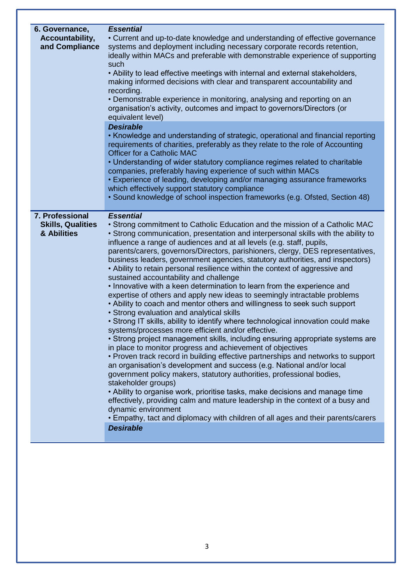| 6. Governance,<br>Accountability,<br>and Compliance        | <b>Essential</b><br>• Current and up-to-date knowledge and understanding of effective governance<br>systems and deployment including necessary corporate records retention,<br>ideally within MACs and preferable with demonstrable experience of supporting<br>such<br>• Ability to lead effective meetings with internal and external stakeholders,                                                                                                                                                                                                                                                                                                                                                                                                                                                                                                                                                                                                                                                                                                                                                                                                                                                                                                                                                                                                                                                                                                                                                                                                                                                                                                                                                  |
|------------------------------------------------------------|--------------------------------------------------------------------------------------------------------------------------------------------------------------------------------------------------------------------------------------------------------------------------------------------------------------------------------------------------------------------------------------------------------------------------------------------------------------------------------------------------------------------------------------------------------------------------------------------------------------------------------------------------------------------------------------------------------------------------------------------------------------------------------------------------------------------------------------------------------------------------------------------------------------------------------------------------------------------------------------------------------------------------------------------------------------------------------------------------------------------------------------------------------------------------------------------------------------------------------------------------------------------------------------------------------------------------------------------------------------------------------------------------------------------------------------------------------------------------------------------------------------------------------------------------------------------------------------------------------------------------------------------------------------------------------------------------------|
|                                                            | making informed decisions with clear and transparent accountability and<br>recording.<br>• Demonstrable experience in monitoring, analysing and reporting on an<br>organisation's activity, outcomes and impact to governors/Directors (or<br>equivalent level)                                                                                                                                                                                                                                                                                                                                                                                                                                                                                                                                                                                                                                                                                                                                                                                                                                                                                                                                                                                                                                                                                                                                                                                                                                                                                                                                                                                                                                        |
|                                                            | <b>Desirable</b><br>• Knowledge and understanding of strategic, operational and financial reporting<br>requirements of charities, preferably as they relate to the role of Accounting<br><b>Officer for a Catholic MAC</b><br>• Understanding of wider statutory compliance regimes related to charitable<br>companies, preferably having experience of such within MACs<br>• Experience of leading, developing and/or managing assurance frameworks<br>which effectively support statutory compliance<br>• Sound knowledge of school inspection frameworks (e.g. Ofsted, Section 48)                                                                                                                                                                                                                                                                                                                                                                                                                                                                                                                                                                                                                                                                                                                                                                                                                                                                                                                                                                                                                                                                                                                  |
| 7. Professional<br><b>Skills, Qualities</b><br>& Abilities | <b>Essential</b><br>• Strong commitment to Catholic Education and the mission of a Catholic MAC<br>• Strong communication, presentation and interpersonal skills with the ability to<br>influence a range of audiences and at all levels (e.g. staff, pupils,<br>parents/carers, governors/Directors, parishioners, clergy, DES representatives,<br>business leaders, government agencies, statutory authorities, and inspectors)<br>• Ability to retain personal resilience within the context of aggressive and<br>sustained accountability and challenge<br>. Innovative with a keen determination to learn from the experience and<br>expertise of others and apply new ideas to seemingly intractable problems<br>• Ability to coach and mentor others and willingness to seek such support<br>• Strong evaluation and analytical skills<br>• Strong IT skills, ability to identify where technological innovation could make<br>systems/processes more efficient and/or effective.<br>• Strong project management skills, including ensuring appropriate systems are<br>in place to monitor progress and achievement of objectives<br>• Proven track record in building effective partnerships and networks to support<br>an organisation's development and success (e.g. National and/or local<br>government policy makers, statutory authorities, professional bodies,<br>stakeholder groups)<br>• Ability to organise work, prioritise tasks, make decisions and manage time<br>effectively, providing calm and mature leadership in the context of a busy and<br>dynamic environment<br>• Empathy, tact and diplomacy with children of all ages and their parents/carers<br><b>Desirable</b> |